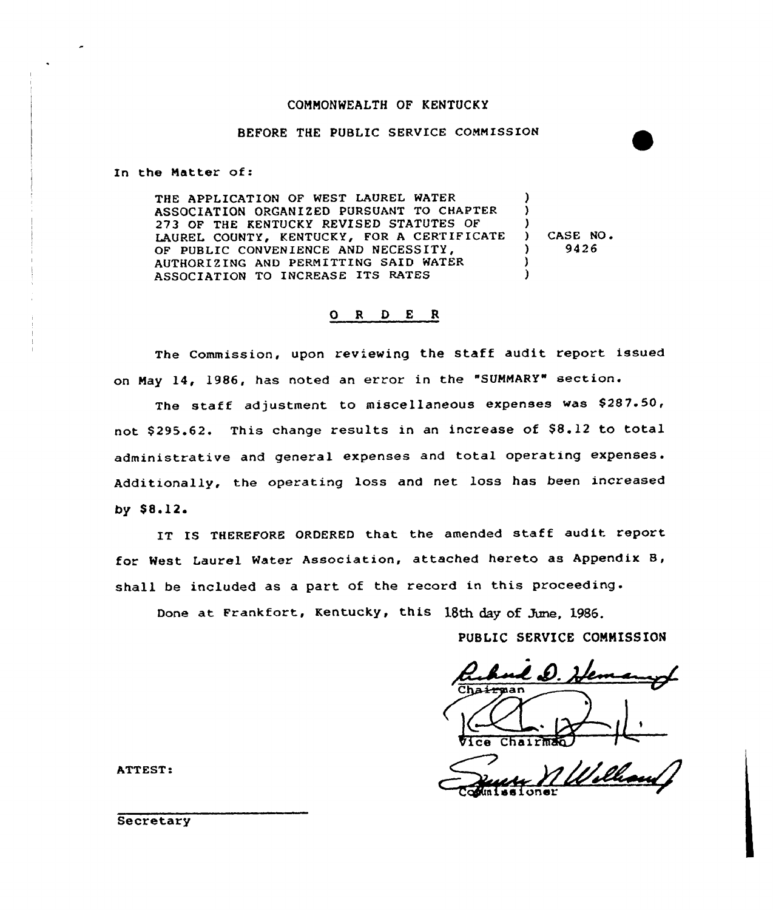### COMMONWEALTH OF KENTUCKY

# BEFORE THE PUBLIC SERVICE COMMISSION

In the Matter of:

THE APPLICATION OF WEST LAUREL WATER ASSOCIATION ORGANIZED PURSUANT TO CHAPTER 273 OF THE KENTUCKY REVISED STATUTES OF LAUREL COUNTY, KENTUCKY, FOR <sup>A</sup> CERTIFICATE OF PUBLIC CONVENIENCE AND NECESSITY, AUTHORIZING AND PERMITTING SAID WATER ASSOCIATION TO INCREASE ITS RATES ) ) ) ) CASE NO. ) 9426 ) )

# 0 <sup>R</sup> <sup>D</sup> E <sup>R</sup>

The Commission, upon reviewing the staff audit report issued on May 14, 1986, has noted an error in the "SUMMARY" section.

The staff adjustment to miscellaneous expenses was \$287.50, not \$295.62. This change results in an increase of \$8.12 to total administrative and general expenses and total operating expenses. Additionally, the operating loss and net loss has been increased by  $$8.12.$ 

IS THEREFORE ORDERED that the amended staff audit repor for West Laurel Water Association, attached hereto as Appendix 8, shall be included as a part of the record in this proceeding.<br>Done at Frankfort, Kentucky, this 18th day of Jume, 1986.

PUBLIC SERVICE COMMISSION

L D. Vice Chairman

couniss ioner

ATTEST:

**Secretary**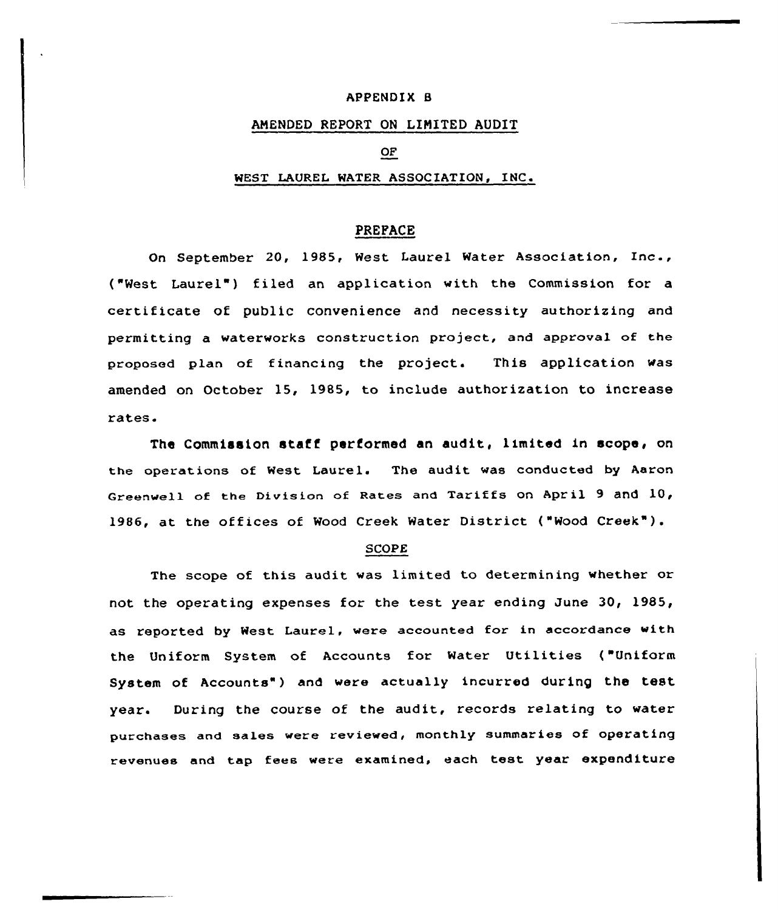### APPENDIX 8

## ANENDED REPORT ON LIMITED AUDIT

### OF

## WEST LAUREL WATER ASSOCIATION, INC.

## PREFACE

On September 20, 1985, West laurel Water Association, Inc., ("West Laurel") filed an application with the Commission for a certificate of public convenience and necessity authorizing and permitting a waterworks construction project, and approval of the proposed plan of financing the project. This application was amended on October 15, 1985, to include authorization to increase rates.

The Commission staff performed an audit, limited in scope, on the operations of West Laurel. The audit was conducted by Aaron Greenwell of the Division of Rates and Tariffs on April 9 and 10, 1986, at the offices of Wood Creek Water District ("Wood Creek" ).

#### SCOPE

The scope of this audit was limited to determining whether or not the operating expenses for the test year ending June 30, 1985, as reported by West Laurel, were accounted for in accordance with the Uniform System of Accounts for Water Utilities ("Uniform System of Accounts") and were actually incurred during the test year. During the course of the audit, records relating to water purchases and sales were reviewed, monthly summaries of operating revenues and tap fees were examined, each test year expenditure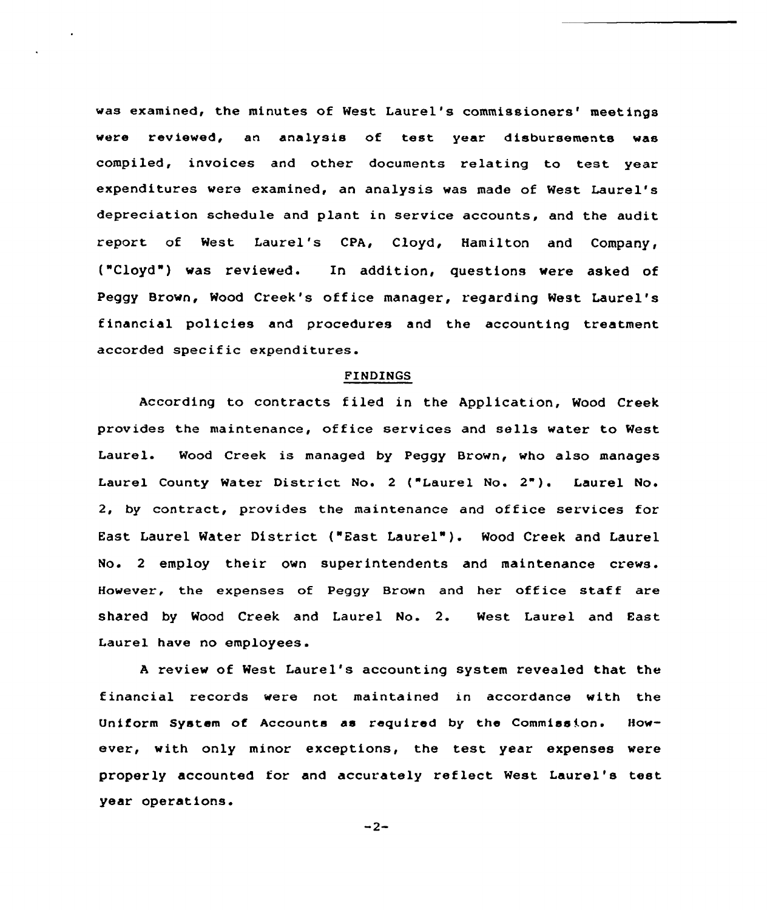was examined, the minutes of West Laurel's commissioners' meetings were reviewed, an analysis of test year disbursements was compiled, invoices and other documents relating to test year expenditures vere examined, an analysis was made of West Laurel's depreciation schedule and plant in service accounts, and the audit report of West Laurel's CPA, Cloyd, Hamilton and Company, ("Cloyd") was reviewed. In addition, questions vere asked of Peggy Brovn, Wood Creek's office manager, regarding West Laurel's financial policies and procedures and the accounting treatment accorded specific expenditures.

#### FINDINGS

According to contracts filed in the Application, Wood Creek provides the maintenance, office services and sells water to West Laurel. Mood Creek is managed by Peggy Brown, who also manages Laurel County Water District No. 2 ("Laurel No. 2"). Laurel No. 2, by contract, provides the maintenance and office services for East Laurel Water District ("East Laurel" ). Wood Creek and Laurel No. <sup>2</sup> employ their own superintendents and maintenance crews. However, the expenses of Peggy Brown and her office staff are shared by Wood Creek and Laurel No. 2. West Laurel and East Laurel have no employees.

<sup>A</sup> review of West Laurel's accounting system revealed that the financial records were not maintained in accordance with the Uniform System of Accounts as required by the Commission. However, with only minor exceptions, the test year expenses were properly accounted for and accurately reflect West Laurel's test year operations.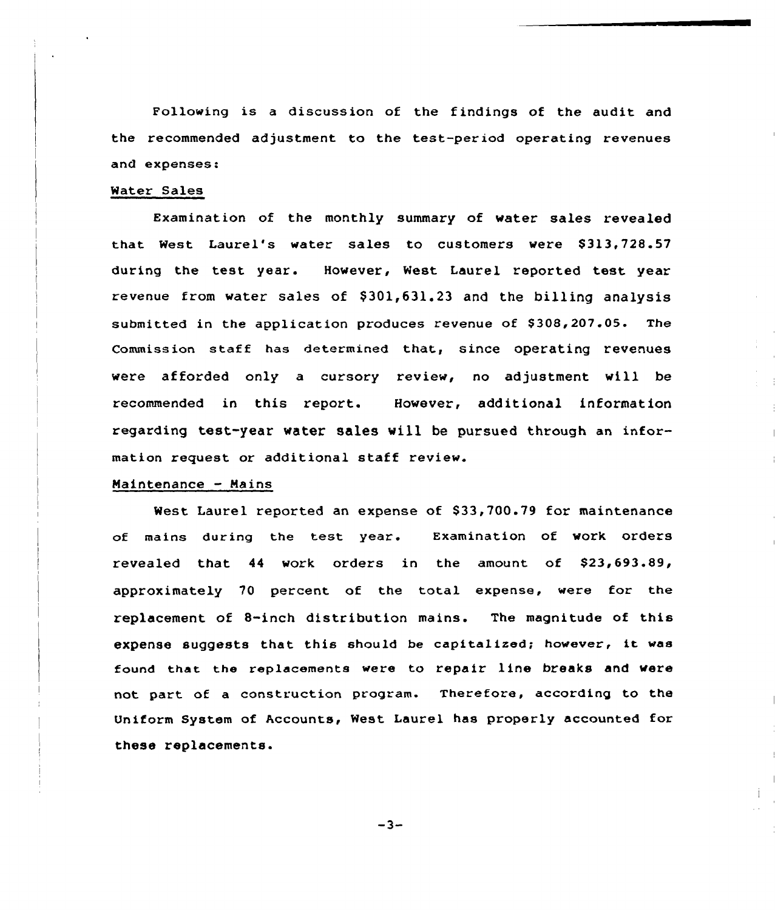Fallowing is <sup>a</sup> discussion of the findings of the audit and the recommended adjustment to the test-period operating revenues and expenses:

### Water Sales

Examination of the monthly summary of water sales revealed that West Laurel's water sales to customers were \$313,728.57 during the test year. However, Nest Laurel reported test year revenue from water sales of  $$301,631,23$  and the billing analysis submitted in the application produces revenue of \$308,207.05. The Commission staff has determined that, since operating revenues were afforded only <sup>a</sup> cursory review, no adjustment vill be recommended in this report. However, additional information regarding test-year water sales will be pursued through an information request or additional staff review.

## Maintenance - Mains

West Laurel reported an expense of \$33,700.79 for maintenance of mains during the test year. Examination of work orders revealed that 44 work orders in the amount of \$23,693.89, approximately 70 percent af the total expense, were for the replacement of 8-inch distribution mains. The magnitude of this expense suggests that this should be capitalized; however, it was found that the replacements were to repair line breaks and vere not part of a construction program. Therefore, according to the Uniform System of Accounts, West Laurel has properly accounted for these replacements.

 $-3-$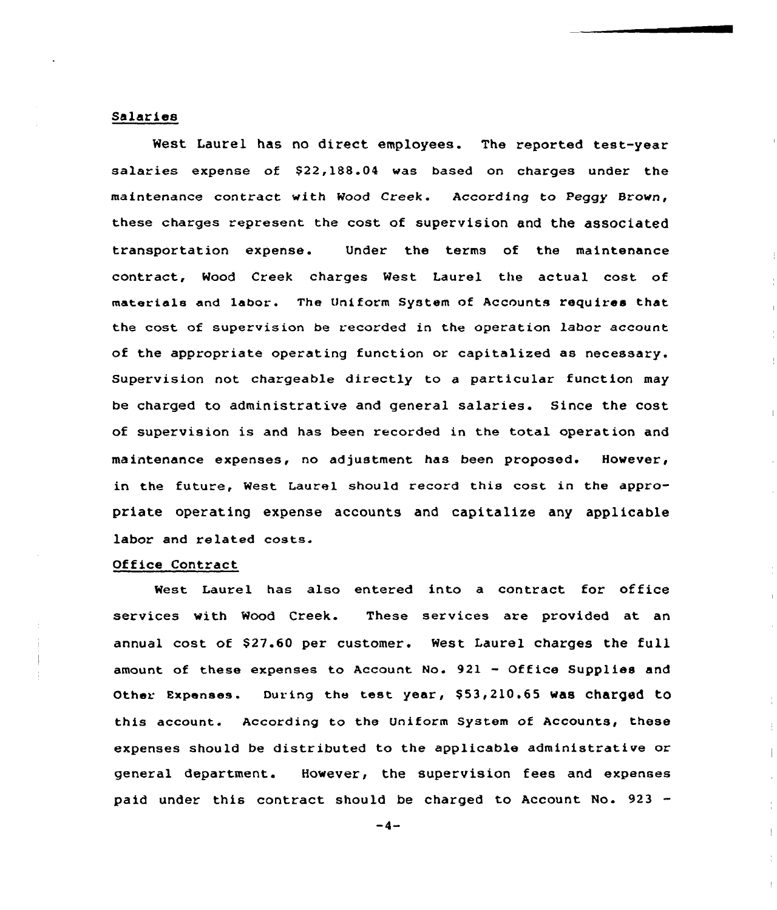## Salaries

West Laurel has no direct employees. The reported test-year salaries expense of \$22,188.04 was based on charges under the maintenance contract with Wood Creek. According to Peggy Brown, these charges represent the cost of supervision and the associated transportation expense. Under the terms of the maintenance contract, Wood Creek charges West Laurel the actual cost of materials and labor. The Uniform System of Accounts requires that the cost of supervision be recorded in the operation labor account of the appropriate operating function or capitalized as necessary. Supervision not chargeable directly to a particular function may be charged to administrative and general salaries. Since the cost of supervision is and has been recorded in the total operation and maintenance expenses, no adjustment has been proposed. However, in the future, West Laurel should record this cost in the appropriate operating expense accounts and capitalize any applicable labor and related costs.

## Office Contract

West Laurel has also entered into a contract for office services with Wood Creek. These services are provided at an annual cost of \$27.60 per customer. West Laurel charges the full amount of these expenses to Account No. 921 — Office Supplies and Other Expenses. During the test year, \$53,210.65 was charged to this account. According to the Uniform System of Accounts, these expenses should be distributed to the applicable administrative or general department. However, the supervision fees and expenses paid under this contract should be charged to Account No. 923 -

 $-4-$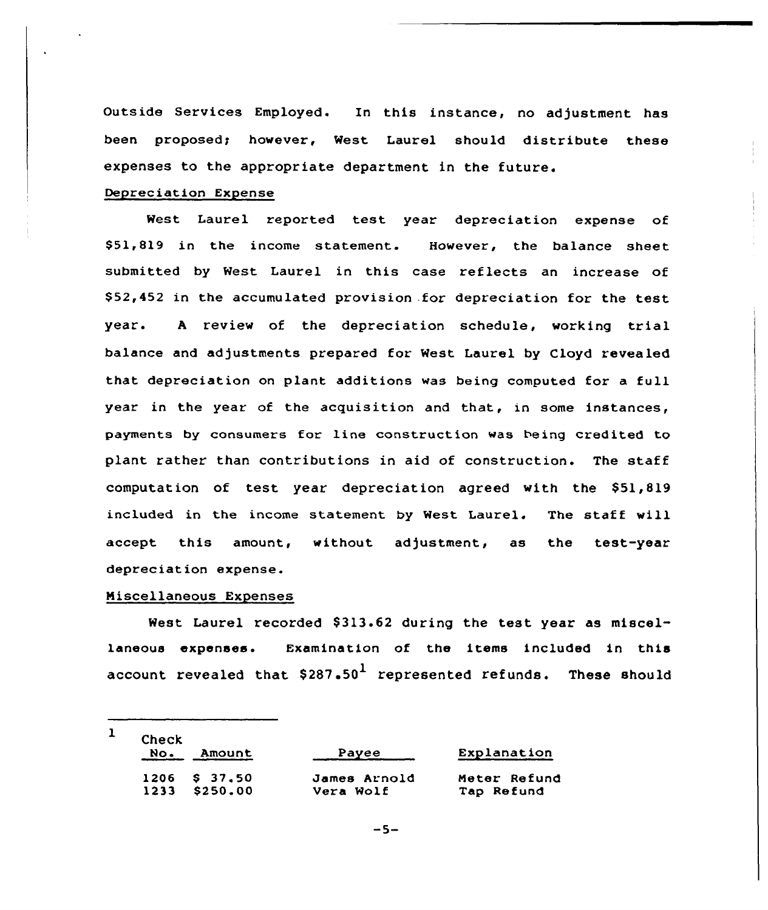Outside Services Employed. In this instance, no adjustment has been proposed; however, West Laurel should distribute these expenses to the appropriate department in the future.

# Depreciation Expense

West Laurel reported test year depreciation expense of \$51,819 in the income statement. However, the balance sheet submitted by West Laurel in this case reflects an increase of \$ 52,452 in the accumulated provision .for depreciation for the test year. <sup>A</sup> review of the depreciation schedule, working trial balance and adjustments prepared for West Laurel by Cloyd revealed that depreciation on plant additions was being computed for a full year in the year of the acquisition and that, in some instances, payments by consumers for line construction was being credited to plant rather than contributions in aid of construction. The staff computation of test year depreciation agreed with the  $$51,819$ included in the income statement by West Laurel. The staff will accept this amount, without adjustment, as the test-year depreciation expense.

# Niscellaneous Expenses

West Laurel recorded \$313.62 during the test year as miscellaneous expenses. Examination of the items included in this account revealed that  $$287.50<sup>1</sup>$  represented refunds. These should

| <b>Check</b> |                 |              |              |  |
|--------------|-----------------|--------------|--------------|--|
| No.          | Amount          | Payee        | Explanation  |  |
|              | $1206$ \$ 37.50 | James Arnold | Meter Refund |  |
|              | 1233 \$250.00   | Vera Wolf    | Tap Refund   |  |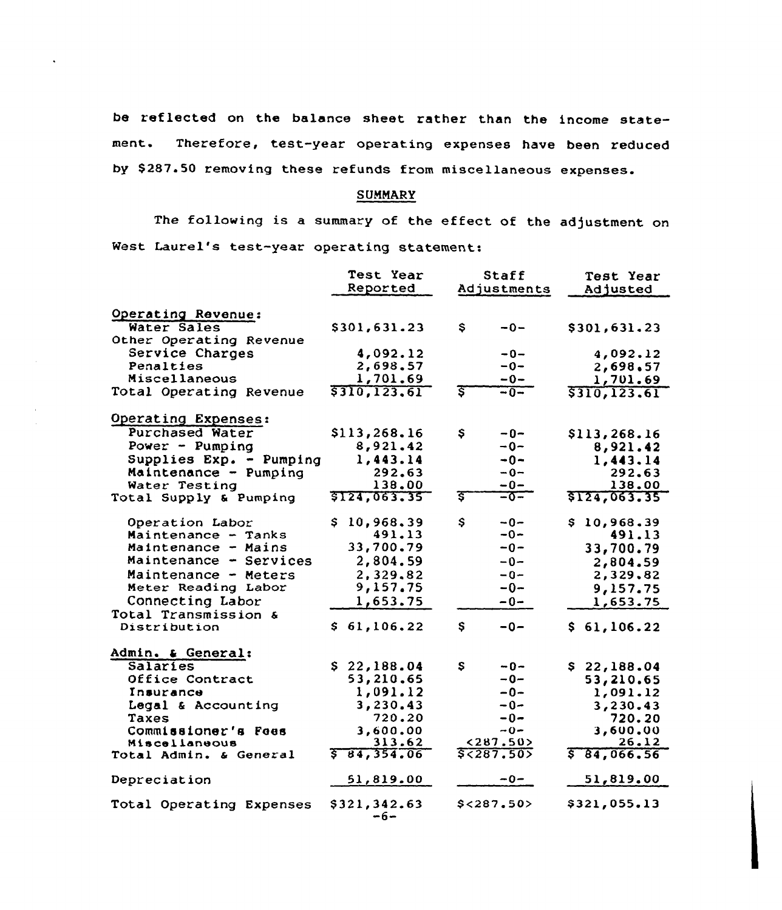be reflected on the balance sheet rather than the income statement. Therefore, test-year operating expenses have been reduced by \$ 287.50 removing these refunds from miscellaneous expenses.

# SUMMARY

The following is a summary of the effect of the adjustment on West Laurel's test-year operating statement:

|                          | <b>Test Year</b>     | Staff                | Test Year            |
|--------------------------|----------------------|----------------------|----------------------|
|                          | Reported             | Adjustments          | Adjusted             |
|                          |                      |                      |                      |
| Operating Revenue:       |                      |                      |                      |
| Water Sales              | \$301,631.23         | \$<br>$-0-$          | \$301,631.23         |
| Other Operating Revenue  |                      |                      |                      |
| Service Charges          | 4,092.12             | $-0-$                | 4,092.12             |
| Penalties                | 2,698.57             | $-0-$                | 2,698.57             |
| Miscellaneous            | 1,701.69             | $-0-$                | 1,701.69             |
| Total Operating Revenue  | \$310, 123.61        | ङ<br>$-0-$           | \$310, 123.61        |
| Operating Expenses:      |                      |                      |                      |
| <b>Purchased Water</b>   | \$113,268.16         | \$<br>$-0-$          | \$113,268.16         |
| Power - Pumping          | 8,921.42             | $-0-$                | 8,921.42             |
| Supplies Exp. - Pumping  | 1,443.14             | $-0-$                | 1,443.14             |
| Maintenance - Pumping    | 292.63               | $-0-$                | 292.63               |
| Water Testing            | 138.00               | $-0-$                | 138.00               |
| Total Supply & Pumping   | \$124,063.35         | इ<br>$-0-$           | \$124,063.35         |
|                          |                      |                      |                      |
| Operation Labor          | \$10,968.39          | \$<br>$-0-$          | 10,968.39<br>S.      |
| Maintenance - Tanks      | 491.13               | $-0-$                | 491.13               |
| Maintenance - Mains      | 33,700.79            | $-0-$                | 33,700.79            |
| Maintenance - Services   | 2,804.59             | $-0-$                | 2,804.59             |
| Maintenance - Meters     | 2,329.82             | $-0-$                | 2,329.82             |
| Meter Reading Labor      | 9,157.75             | $-0-$                | 9,157.75             |
| Connecting Labor         | 1,653.75             | $-0-$                | 1,653.75             |
| Total Transmission &     |                      |                      |                      |
| Distribution             | \$61,106.22          | \$<br>$-0-$          | \$61,106.22          |
|                          |                      |                      |                      |
| Admin. & General:        |                      |                      |                      |
| Salaries                 | \$22,188.04          | \$<br>$-0-$          | \$22,188.04          |
| Office Contract          | 53,210.65            | $-0-$                | 53,210.65            |
| Insurance                | 1,091.12             | $-0-$                | 1,091.12             |
| Legal & Accounting       | 3,230.43             | $-0-$                | 3,230.43             |
| Taxes                    | 720.20               | $-0-$                | 720.20               |
| Commissioner's Fees      | 3,600.00             | $-0-$                | 3,600.00             |
| Miscellaneous            | 313.62<br>584,354.06 | <287.50><br>5,287.50 | 26.12<br>\$84,066.56 |
| Total Admin. & General   |                      |                      |                      |
| Depreciation             | 51,819.00            | -0-                  | 51,819.00            |
| Total Operating Expenses | \$321,342.63<br>-6-  | $$<$ 287.50>         | \$321,055.13         |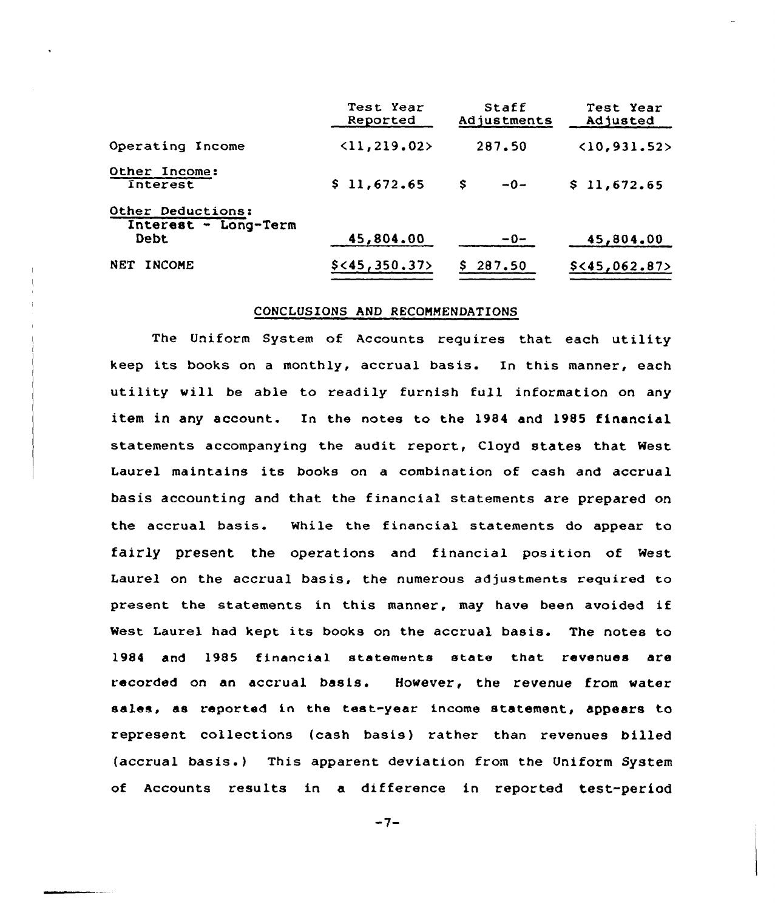|                                                   | Test Year<br>Reported        | Staff<br>Adjustments | Test Year<br>Adjusted |
|---------------------------------------------------|------------------------------|----------------------|-----------------------|
| Operating Income                                  | $\langle 11, 219.02 \rangle$ | 287.50               | (10, 931.52)          |
| Other Income:<br>Interest                         | \$11,672.65                  | s<br>$-0-$           | \$11,672.65           |
| Other Deductions:<br>Interest - Long-Term<br>Debt | 45,804.00                    | $-0-$                | 45,804.00             |
| <b>NET</b><br><b>INCOME</b>                       | $$<$ 45, 350.37>             | \$287.50             | $$<$ 45,062.87>       |

## CONCLUSIONS AND RECOMMENDATIONS

The Uniform System of Accounts requires that each utility keep its books on <sup>a</sup> monthly, accrual basis. In this manner, each utility will be able to readily furnish full information on any item in any account. In the notes to the 1984 and 1985 financial statements accompanying the audit report, Cloyd states that West Laurel maintains its books on a combination of cash and accrual basis accounting and that the financial statements are prepared on the accrual basis. While the financial statements do appear to fairly present the operations and financial position of West Laurel on the accrual basis, the numerous adjustments required to present the statements in this manner, may have been avoided if West Laurel had kept its books on the accrual basis. The notes to 1984 and 1985 financial statements state that revenues are recorded on an accrual basis. However, the revenue from water sales, as reported in the test-year income statement, appears to represent collections (cash basis) rather than revenues billed (accrual basis. ) This apparent deviation from the Uniform System of Accounts results in a difference in reported test-period

 $-7-$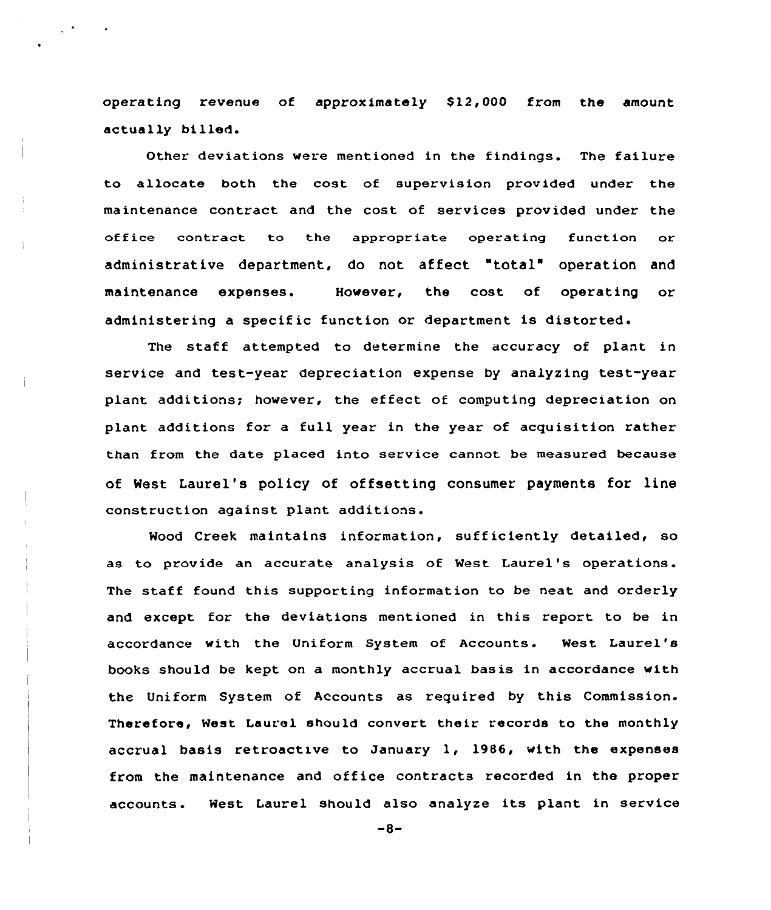operating revenue of approximately  $$12,000$  from the amount actually billed.

 $\sim$   $^{\circ}$ 

Other deviations were mentioned in the findings. The failure to allocate both the cost of supervision provided under the maintenance contract and the cost of services provided under the office contract to the appropriate operating function or administrative department, do not affect "total" operation and maintenance expenses. However, the cost of operating or administering a specific function or department is distorted.

The staff attempted to determine the accuracy of plant in service and test-year depreciation expense by analyzing test-year plant additions; however, the effect of computing depreciation on plant additions for a full year in the year of acquisition rather than from the date placed into service cannot be measured because of West Laurel's policy of offsetting consumer payments for line construction against plant additions.

Wood Creek maintains information, sufficiently detailed, so as to provide an accurate analysis of West Laurel's operations. The staff found this supporting information to be neat and orderly and except for the deviations mentioned in this report to be in accordance with the Uniform System of Accounts. West Laurel's books should be kept on a monthly accrual basis in accordance with the Uniform System of Accounts as required by this Commission. Therefore, West Laurel should convert their records to the monthly accrual basis retroactive to January 1, 19B6, with the expenses from the maintenance and office contracts recorded in the proper accounts. West Laurel should also analyze its plant in service

 $-8-$